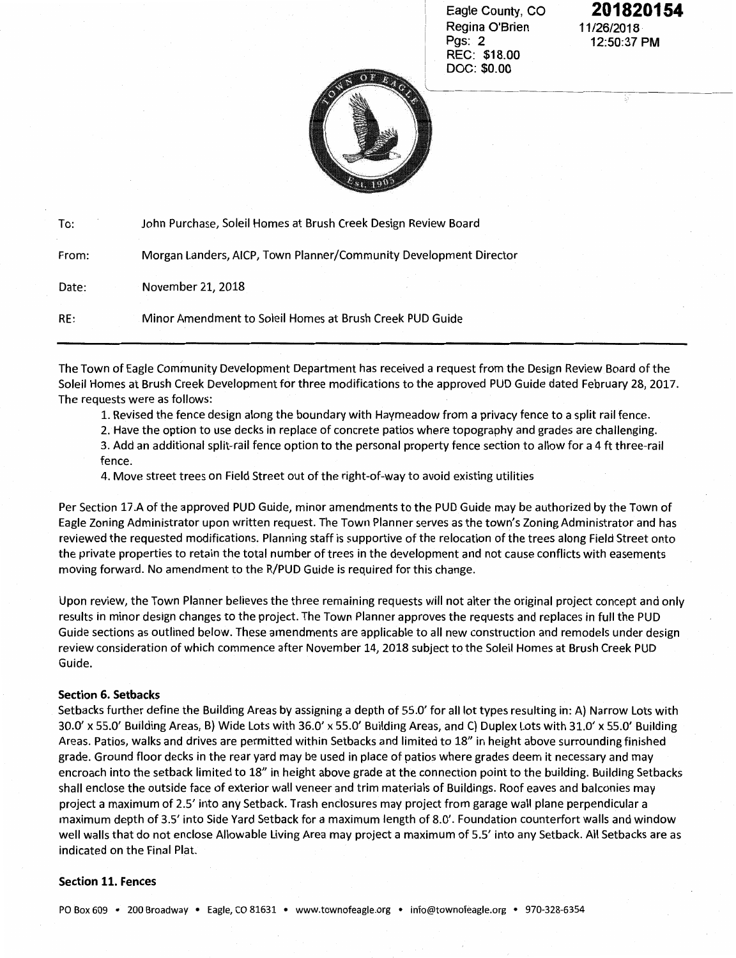Eagle County, CO Regina O'Brien Pgs: 2 REC: \$18.00 DOC: \$0.00

## **201820154**  11/26/2018 12:50:37 PM



| To:   | John Purchase, Soleil Homes at Brush Creek Design Review Board    |  |
|-------|-------------------------------------------------------------------|--|
| From: | Morgan Landers, AICP, Town Planner/Community Development Director |  |
| Date: | November 21, 2018                                                 |  |
| RE:   | Minor Amendment to Soleil Homes at Brush Creek PUD Guide          |  |

The Town of Eagle Community Development Department has received a request from the Design Review Board of the Soleil Homes at Brush Creek Development for three modifications to the approved PUD Guide dated February 28, 2017. The requests were as follows:

1. Revised the fence design along the boundary with Haymeadow from a privacy fence to a split rail fence.

2. Have the option to use decks in replace of concrete patios where topography and grades are challenging.

3. Add an additional split-rail fence option to the personal property fence section to allow for a 4 ft three-rail fence.

4. Move street trees on Field Street out of the right-of-way to avoid existing utilities

Per Section 17.A of the approved PUD Guide, minor amendments to the PUD Guide may be authorized by the Town of Eagle Zoning Administrator upon written request. The Town Planner serves as the town's Zoning Administrator and has reviewed the requested modifications. Planning staff is supportive of the relocation of the trees along Field Street onto the private properties to retain the total number of trees in the development and not cause conflicts with easements moving forward. No amendment to the R/PUD Guide is required for this change.

Upon review, the Town Planner believes the three remaining requests will not alter the original project concept and only results in minor design changes to the project. The Town Planner approves the requests and replaces in full the PUD Guide sections as outlined below. These amendments are applicable to all new construction and remodels under design review consideration of which commence after November 14, 2018 subject to the Soleil Homes at Brush Creek PUD Guide.

## Section 6. Setbacks

Setbacks further define the Building Areas by assigning a depth of 55.0' for all lot types resulting in: A) Narrow Lots with 30.0' *x* 55.0' Building Areas, B) Wide Lots with 36.0' *x* 55.0' Building Areas, and C) Duplex Lots with 31.0' *x* 55.0' Building Areas. Patios, walks and drives are permitted within Setbacks and limited to 18" in height above surrounding finished grade. Ground floor decks in the rear yard may be used in place of patios where grades deem it necessary and may encroach into the setback limited to 18" in height above grade at the connection point to the building. Building Setbacks shall enclose the outside face of exterior wall veneer and trim materials of Buildings. Roof eaves and balconies may project a maximum of 2.5' into any Setback. Trash enclosures may project from garage wall plane perpendicular a maximum depth of 3.5' into Side Yard Setback for a maximum length of 8.0'. Foundation counterfort walls and window well walls that do not enclose Allowable Living Area may project a maximum of 5.5' into any Setback. All Setbacks are as indicated on the Final Plat.

## Section 11. Fences